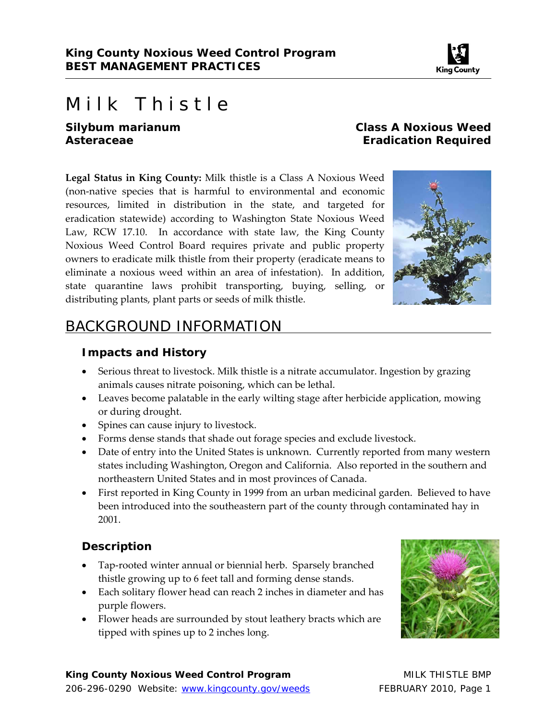

# Milk Thistle

*Silybum marianum* **Class A Noxious Weed Asteraceae Eradication Required** 

**Legal Status in King County:** Milk thistle is a Class A Noxious Weed (non‐native species that is harmful to environmental and economic resources, limited in distribution in the state, and targeted for eradication statewide) according to Washington State Noxious Weed Law, RCW 17.10. In accordance with state law, the King County Noxious Weed Control Board requires private and public property owners to eradicate milk thistle from their property (eradicate means to eliminate a noxious weed within an area of infestation). In addition, state quarantine laws prohibit transporting, buying, selling, or distributing plants, plant parts or seeds of milk thistle.



# BACKGROUND INFORMATION

#### **Impacts and History**

- Serious threat to livestock. Milk thistle is a nitrate accumulator. Ingestion by grazing animals causes nitrate poisoning, which can be lethal.
- Leaves become palatable in the early wilting stage after herbicide application, mowing or during drought.
- Spines can cause injury to livestock.
- Forms dense stands that shade out forage species and exclude livestock.
- Date of entry into the United States is unknown. Currently reported from many western states including Washington, Oregon and California. Also reported in the southern and northeastern United States and in most provinces of Canada.
- First reported in King County in 1999 from an urban medicinal garden. Believed to have been introduced into the southeastern part of the county through contaminated hay in 2001.

#### **Description**

- Tap-rooted winter annual or biennial herb. Sparsely branched thistle growing up to 6 feet tall and forming dense stands.
- Each solitary flower head can reach 2 inches in diameter and has purple flowers.
- Flower heads are surrounded by stout leathery bracts which are tipped with spines up to 2 inches long.

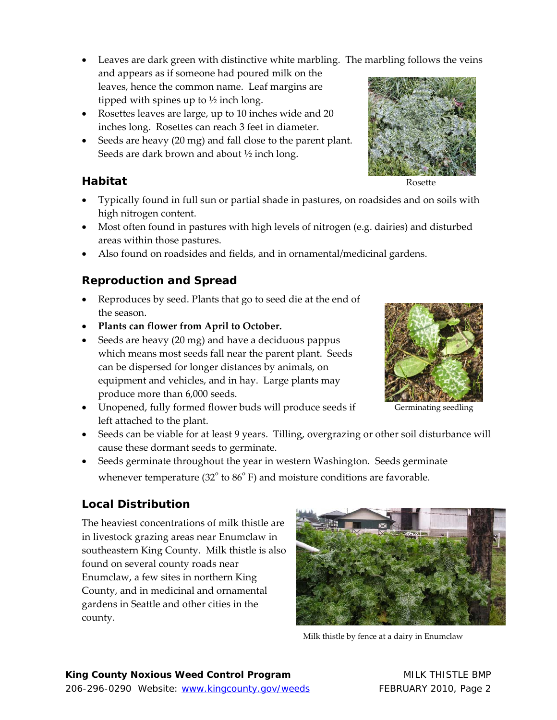- Leaves are dark green with distinctive white marbling. The marbling follows the veins
- and appears as if someone had poured milk on the leaves, hence the common name. Leaf margins are tipped with spines up to  $\frac{1}{2}$  inch long.
- Rosettes leaves are large, up to 10 inches wide and 20 inches long. Rosettes can reach 3 feet in diameter.
- Seeds are heavy (20 mg) and fall close to the parent plant. Seeds are dark brown and about ½ inch long.

# **Habitat**

- Typically found in full sun or partial shade in pastures, on roadsides and on soils with high nitrogen content.
- Most often found in pastures with high levels of nitrogen (e.g. dairies) and disturbed areas within those pastures.
- Also found on roadsides and fields, and in ornamental/medicinal gardens.

# **Reproduction and Spread**

- Reproduces by seed. Plants that go to seed die at the end of the season.
- **Plants can flower from April to October.**
- Seeds are heavy (20 mg) and have a deciduous pappus which means most seeds fall near the parent plant. Seeds can be dispersed for longer distances by animals, on equipment and vehicles, and in hay. Large plants may produce more than 6,000 seeds.
- Unopened, fully formed flower buds will produce seeds if left attached to the plant.
- Seeds can be viable for at least 9 years. Tilling, overgrazing or other soil disturbance will cause these dormant seeds to germinate.
- Seeds germinate throughout the year in western Washington. Seeds germinate whenever temperature (32 $^{\circ}$  to 86 $^{\circ}$  F) and moisture conditions are favorable.

# **Local Distribution**

The heaviest concentrations of milk thistle are in livestock grazing areas near Enumclaw in southeastern King County. Milk thistle is also found on several county roads near Enumclaw, a few sites in northern King County, and in medicinal and ornamental gardens in Seattle and other cities in the county.



Milk thistle by fence at a dairy in Enumclaw



Germinating seedling

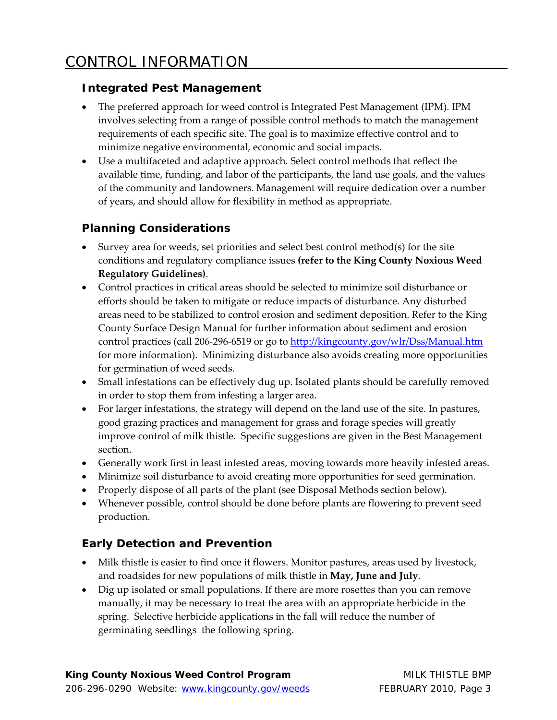#### **Integrated Pest Management**

- The preferred approach for weed control is Integrated Pest Management (IPM). IPM involves selecting from a range of possible control methods to match the management requirements of each specific site. The goal is to maximize effective control and to minimize negative environmental, economic and social impacts.
- Use a multifaceted and adaptive approach. Select control methods that reflect the available time, funding, and labor of the participants, the land use goals, and the values of the community and landowners. Management will require dedication over a number of years, and should allow for flexibility in method as appropriate.

#### **Planning Considerations**

- Survey area for weeds, set priorities and select best control method(s) for the site conditions and regulatory compliance issues **(refer to the King County Noxious Weed Regulatory Guidelines)**.
- Control practices in critical areas should be selected to minimize soil disturbance or efforts should be taken to mitigate or reduce impacts of disturbance. Any disturbed areas need to be stabilized to control erosion and sediment deposition. Refer to the King County Surface Design Manual for further information about sediment and erosion control practices (call 206-296-6519 or go to http://kingcounty.gov/wlr/Dss/Manual.htm for more information). Minimizing disturbance also avoids creating more opportunities for germination of weed seeds.
- Small infestations can be effectively dug up. Isolated plants should be carefully removed in order to stop them from infesting a larger area.
- For larger infestations, the strategy will depend on the land use of the site. In pastures, good grazing practices and management for grass and forage species will greatly improve control of milk thistle. Specific suggestions are given in the Best Management section.
- Generally work first in least infested areas, moving towards more heavily infested areas.
- Minimize soil disturbance to avoid creating more opportunities for seed germination.
- Properly dispose of all parts of the plant (see Disposal Methods section below).
- Whenever possible, control should be done before plants are flowering to prevent seed production.

# **Early Detection and Prevention**

- Milk thistle is easier to find once it flowers. Monitor pastures, areas used by livestock, and roadsides for new populations of milk thistle in **May, June and July**.
- Dig up isolated or small populations. If there are more rosettes than you can remove manually, it may be necessary to treat the area with an appropriate herbicide in the spring. Selective herbicide applications in the fall will reduce the number of germinating seedlings the following spring.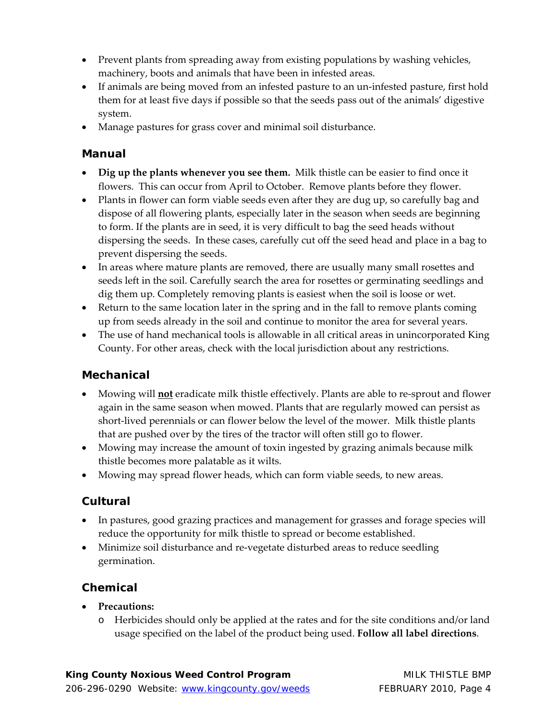- Prevent plants from spreading away from existing populations by washing vehicles, machinery, boots and animals that have been in infested areas.
- If animals are being moved from an infested pasture to an un‐infested pasture, first hold them for at least five days if possible so that the seeds pass out of the animals' digestive system.
- Manage pastures for grass cover and minimal soil disturbance.

#### **Manual**

- **Dig up the plants whenever you see them.** Milk thistle can be easier to find once it flowers. This can occur from April to October. Remove plants before they flower.
- Plants in flower can form viable seeds even after they are dug up, so carefully bag and dispose of all flowering plants, especially later in the season when seeds are beginning to form. If the plants are in seed, it is very difficult to bag the seed heads without dispersing the seeds. In these cases, carefully cut off the seed head and place in a bag to prevent dispersing the seeds.
- In areas where mature plants are removed, there are usually many small rosettes and seeds left in the soil. Carefully search the area for rosettes or germinating seedlings and dig them up. Completely removing plants is easiest when the soil is loose or wet.
- Return to the same location later in the spring and in the fall to remove plants coming up from seeds already in the soil and continue to monitor the area for several years.
- The use of hand mechanical tools is allowable in all critical areas in unincorporated King County. For other areas, check with the local jurisdiction about any restrictions.

#### **Mechanical**

- Mowing will **not** eradicate milk thistle effectively. Plants are able to re‐sprout and flower again in the same season when mowed. Plants that are regularly mowed can persist as short‐lived perennials or can flower below the level of the mower. Milk thistle plants that are pushed over by the tires of the tractor will often still go to flower.
- Mowing may increase the amount of toxin ingested by grazing animals because milk thistle becomes more palatable as it wilts.
- Mowing may spread flower heads, which can form viable seeds, to new areas.

# **Cultural**

- In pastures, good grazing practices and management for grasses and forage species will reduce the opportunity for milk thistle to spread or become established.
- Minimize soil disturbance and re-vegetate disturbed areas to reduce seedling germination.

#### **Chemical**

- **Precautions:**
	- o Herbicides should only be applied at the rates and for the site conditions and/or land usage specified on the label of the product being used. **Follow all label directions**.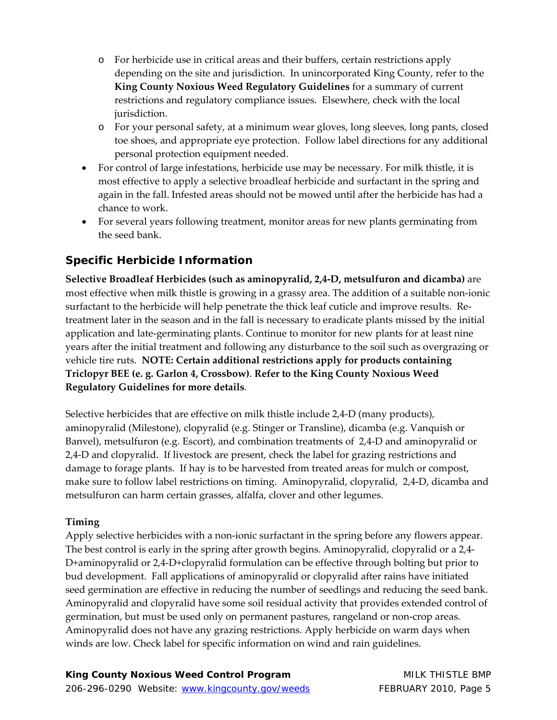- o For herbicide use in critical areas and their buffers, certain restrictions apply depending on the site and jurisdiction. In unincorporated King County, refer to the **King County Noxious Weed Regulatory Guidelines** for a summary of current restrictions and regulatory compliance issues. Elsewhere, check with the local jurisdiction.
- o For your personal safety, at a minimum wear gloves, long sleeves, long pants, closed toe shoes, and appropriate eye protection. Follow label directions for any additional personal protection equipment needed.
- For control of large infestations, herbicide use may be necessary. For milk thistle, it is most effective to apply a selective broadleaf herbicide and surfactant in the spring and again in the fall. Infested areas should not be mowed until after the herbicide has had a chance to work.
- For several years following treatment, monitor areas for new plants germinating from the seed bank.

#### **Specific Herbicide Information**

**Selective Broadleaf Herbicides (such as aminopyralid, 2,4‐D, metsulfuron and dicamba)** are most effective when milk thistle is growing in a grassy area. The addition of a suitable non‐ionic surfactant to the herbicide will help penetrate the thick leaf cuticle and improve results. Retreatment later in the season and in the fall is necessary to eradicate plants missed by the initial application and late‐germinating plants. Continue to monitor for new plants for at least nine years after the initial treatment and following any disturbance to the soil such as overgrazing or vehicle tire ruts. **NOTE: Certain additional restrictions apply for products containing Triclopyr BEE (e. g. Garlon 4, Crossbow)**. **Refer to the King County Noxious Weed Regulatory Guidelines for more details**.

Selective herbicides that are effective on milk thistle include 2,4‐D (many products), aminopyralid (Milestone), clopyralid (e.g. Stinger or Transline), dicamba (e.g. Vanquish or Banvel), metsulfuron (e.g. Escort), and combination treatments of 2,4‐D and aminopyralid or 2,4‐D and clopyralid. If livestock are present, check the label for grazing restrictions and damage to forage plants. If hay is to be harvested from treated areas for mulch or compost, make sure to follow label restrictions on timing. Aminopyralid, clopyralid, 2,4‐D, dicamba and metsulfuron can harm certain grasses, alfalfa, clover and other legumes.

#### **Timing**

Apply selective herbicides with a non-ionic surfactant in the spring before any flowers appear. The best control is early in the spring after growth begins. Aminopyralid, clopyralid or a 2,4‐ D+aminopyralid or 2,4‐D+clopyralid formulation can be effective through bolting but prior to bud development. Fall applications of aminopyralid or clopyralid after rains have initiated seed germination are effective in reducing the number of seedlings and reducing the seed bank. Aminopyralid and clopyralid have some soil residual activity that provides extended control of germination, but must be used only on permanent pastures, rangeland or non‐crop areas. Aminopyralid does not have any grazing restrictions. Apply herbicide on warm days when winds are low. Check label for specific information on wind and rain guidelines.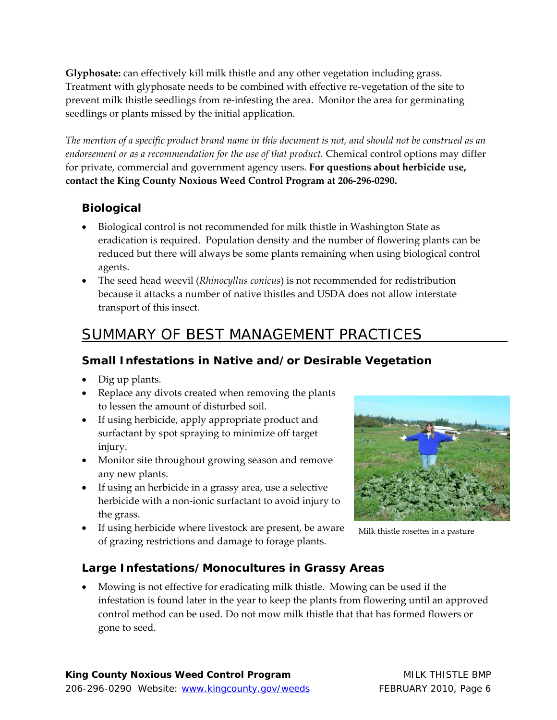**Glyphosate:** can effectively kill milk thistle and any other vegetation including grass. Treatment with glyphosate needs to be combined with effective re‐vegetation of the site to prevent milk thistle seedlings from re-infesting the area. Monitor the area for germinating seedlings or plants missed by the initial application.

The mention of a specific product brand name in this document is not, and should not be construed as an *endorsement or as a recommendation for the use of that product.* Chemical control options may differ for private, commercial and government agency users. **For questions about herbicide use, contact the King County Noxious Weed Control Program at 206‐296‐0290.**

# **Biological**

- Biological control is not recommended for milk thistle in Washington State as eradication is required. Population density and the number of flowering plants can be reduced but there will always be some plants remaining when using biological control agents.
- The seed head weevil (*Rhinocyllus conicus*) is not recommended for redistribution because it attacks a number of native thistles and USDA does not allow interstate transport of this insect.

# SUMMARY OF BEST MANAGEMENT PRACTICES

# **Small Infestations in Native and/or Desirable Vegetation**

- Dig up plants.
- Replace any divots created when removing the plants to lessen the amount of disturbed soil.
- If using herbicide, apply appropriate product and surfactant by spot spraying to minimize off target injury.
- Monitor site throughout growing season and remove any new plants.
- If using an herbicide in a grassy area, use a selective herbicide with a non-ionic surfactant to avoid injury to the grass.
- If using herbicide where livestock are present, be aware of grazing restrictions and damage to forage plants.



Milk thistle rosettes in a pasture

# **Large Infestations/Monocultures in Grassy Areas**

 Mowing is not effective for eradicating milk thistle. Mowing can be used if the infestation is found later in the year to keep the plants from flowering until an approved control method can be used. Do not mow milk thistle that that has formed flowers or gone to seed.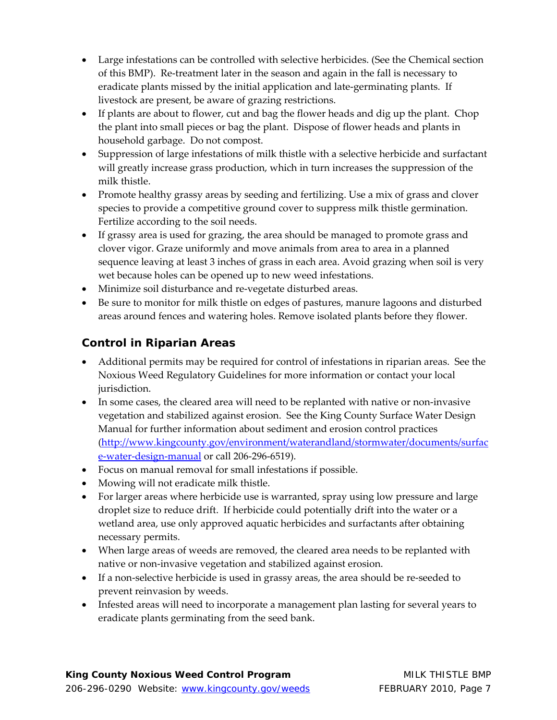- Large infestations can be controlled with selective herbicides. (See the Chemical section of this BMP). Re‐treatment later in the season and again in the fall is necessary to eradicate plants missed by the initial application and late‐germinating plants. If livestock are present, be aware of grazing restrictions.
- If plants are about to flower, cut and bag the flower heads and dig up the plant. Chop the plant into small pieces or bag the plant. Dispose of flower heads and plants in household garbage. Do not compost.
- Suppression of large infestations of milk thistle with a selective herbicide and surfactant will greatly increase grass production, which in turn increases the suppression of the milk thistle.
- Promote healthy grassy areas by seeding and fertilizing. Use a mix of grass and clover species to provide a competitive ground cover to suppress milk thistle germination. Fertilize according to the soil needs.
- If grassy area is used for grazing, the area should be managed to promote grass and clover vigor. Graze uniformly and move animals from area to area in a planned sequence leaving at least 3 inches of grass in each area. Avoid grazing when soil is very wet because holes can be opened up to new weed infestations.
- Minimize soil disturbance and re-vegetate disturbed areas.
- Be sure to monitor for milk thistle on edges of pastures, manure lagoons and disturbed areas around fences and watering holes. Remove isolated plants before they flower.

#### **Control in Riparian Areas**

- Additional permits may be required for control of infestations in riparian areas. See the Noxious Weed Regulatory Guidelines for more information or contact your local jurisdiction.
- In some cases, the cleared area will need to be replanted with native or non-invasive vegetation and stabilized against erosion. See the King County Surface Water Design Manual for further information about sediment and erosion control practices (http://www.kingcounty.gov/environment/waterandland/stormwater/documents/surfac e‐water‐design‐manual or call 206‐296‐6519).
- Focus on manual removal for small infestations if possible.
- Mowing will not eradicate milk thistle.
- For larger areas where herbicide use is warranted, spray using low pressure and large droplet size to reduce drift. If herbicide could potentially drift into the water or a wetland area, use only approved aquatic herbicides and surfactants after obtaining necessary permits.
- When large areas of weeds are removed, the cleared area needs to be replanted with native or non‐invasive vegetation and stabilized against erosion.
- If a non-selective herbicide is used in grassy areas, the area should be re-seeded to prevent reinvasion by weeds.
- Infested areas will need to incorporate a management plan lasting for several years to eradicate plants germinating from the seed bank.